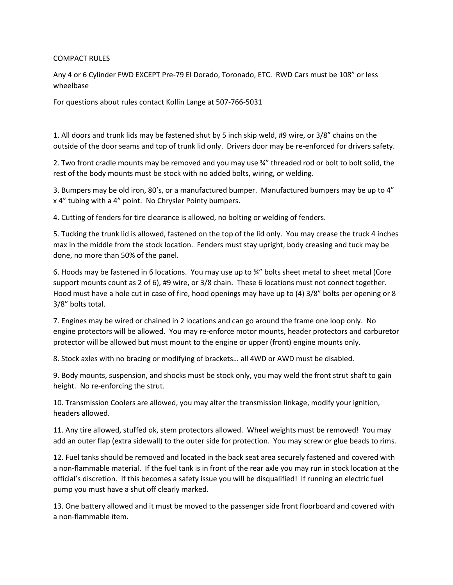## COMPACT RULES

Any 4 or 6 Cylinder FWD EXCEPT Pre-79 El Dorado, Toronado, ETC. RWD Cars must be 108" or less wheelbase

For questions about rules contact Kollin Lange at 507-766-5031

1. All doors and trunk lids may be fastened shut by 5 inch skip weld, #9 wire, or 3/8" chains on the outside of the door seams and top of trunk lid only. Drivers door may be re-enforced for drivers safety.

2. Two front cradle mounts may be removed and you may use ¾" threaded rod or bolt to bolt solid, the rest of the body mounts must be stock with no added bolts, wiring, or welding.

3. Bumpers may be old iron, 80's, or a manufactured bumper. Manufactured bumpers may be up to 4" x 4" tubing with a 4" point. No Chrysler Pointy bumpers.

4. Cutting of fenders for tire clearance is allowed, no bolting or welding of fenders.

5. Tucking the trunk lid is allowed, fastened on the top of the lid only. You may crease the truck 4 inches max in the middle from the stock location. Fenders must stay upright, body creasing and tuck may be done, no more than 50% of the panel.

6. Hoods may be fastened in 6 locations. You may use up to ¾" bolts sheet metal to sheet metal (Core support mounts count as 2 of 6), #9 wire, or 3/8 chain. These 6 locations must not connect together. Hood must have a hole cut in case of fire, hood openings may have up to (4) 3/8" bolts per opening or 8 3/8" bolts total.

7. Engines may be wired or chained in 2 locations and can go around the frame one loop only. No engine protectors will be allowed. You may re-enforce motor mounts, header protectors and carburetor protector will be allowed but must mount to the engine or upper (front) engine mounts only.

8. Stock axles with no bracing or modifying of brackets… all 4WD or AWD must be disabled.

9. Body mounts, suspension, and shocks must be stock only, you may weld the front strut shaft to gain height. No re-enforcing the strut.

10. Transmission Coolers are allowed, you may alter the transmission linkage, modify your ignition, headers allowed.

11. Any tire allowed, stuffed ok, stem protectors allowed. Wheel weights must be removed! You may add an outer flap (extra sidewall) to the outer side for protection. You may screw or glue beads to rims.

12. Fuel tanks should be removed and located in the back seat area securely fastened and covered with a non-flammable material. If the fuel tank is in front of the rear axle you may run in stock location at the official's discretion. If this becomes a safety issue you will be disqualified! If running an electric fuel pump you must have a shut off clearly marked.

13. One battery allowed and it must be moved to the passenger side front floorboard and covered with a non-flammable item.